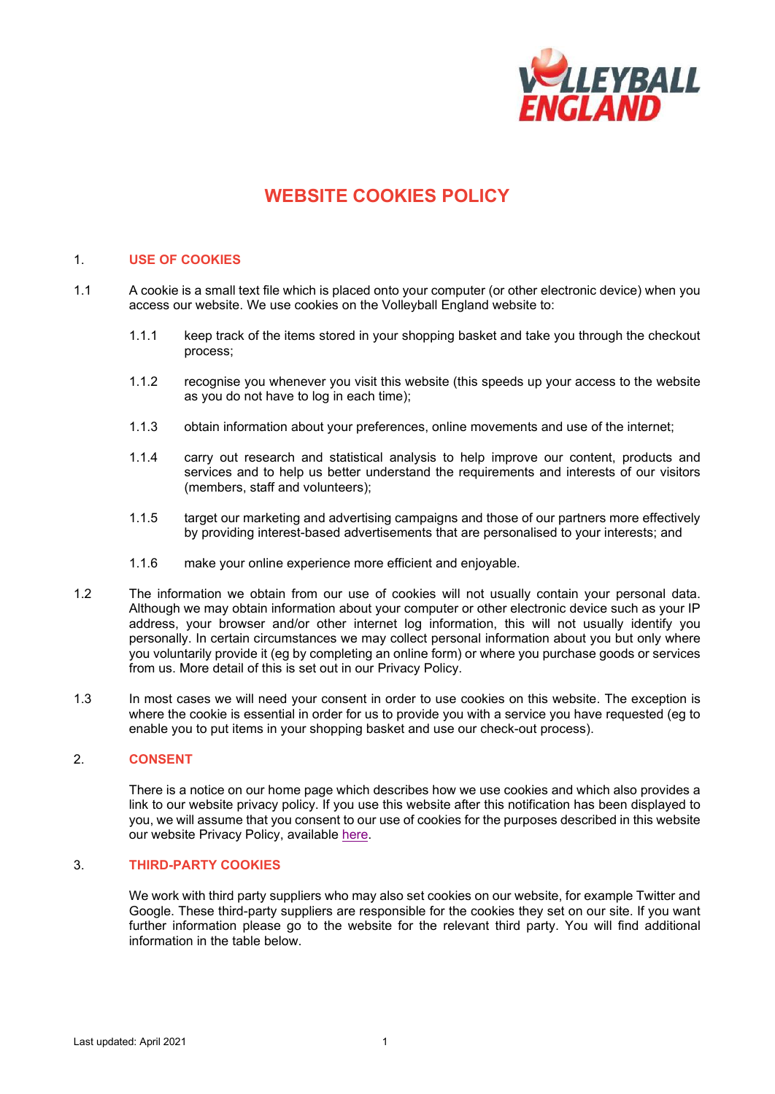

# **WEBSITE COOKIES POLICY**

#### 1. **USE OF COOKIES**

- 1.1 A cookie is a small text file which is placed onto your computer (or other electronic device) when you access our website. We use cookies on the Volleyball England website to:
	- 1.1.1 keep track of the items stored in your shopping basket and take you through the checkout process;
	- 1.1.2 recognise you whenever you visit this website (this speeds up your access to the website as you do not have to log in each time);
	- 1.1.3 obtain information about your preferences, online movements and use of the internet;
	- 1.1.4 carry out research and statistical analysis to help improve our content, products and services and to help us better understand the requirements and interests of our visitors (members, staff and volunteers);
	- 1.1.5 target our marketing and advertising campaigns and those of our partners more effectively by providing interest-based advertisements that are personalised to your interests; and
	- 1.1.6 make your online experience more efficient and enjoyable.
- 1.2 The information we obtain from our use of cookies will not usually contain your personal data. Although we may obtain information about your computer or other electronic device such as your IP address, your browser and/or other internet log information, this will not usually identify you personally. In certain circumstances we may collect personal information about you but only where you voluntarily provide it (eg by completing an online form) or where you purchase goods or services from us. More detail of this is set out in our Privacy Policy.
- 1.3 In most cases we will need your consent in order to use cookies on this website. The exception is where the cookie is essential in order for us to provide you with a service you have requested (eg to enable you to put items in your shopping basket and use our check-out process).

### 2. **CONSENT**

There is a notice on our home page which describes how we use cookies and which also provides a link to our website privacy policy. If you use this website after this notification has been displayed to you, we will assume that you consent to our use of cookies for the purposes described in this website our website Privacy Policy, available [here.](http://www.volleyballengland.org/about_us/about_us_/governance)

### 3. **THIRD-PARTY COOKIES**

We work with third party suppliers who may also set cookies on our website, for example Twitter and Google. These third-party suppliers are responsible for the cookies they set on our site. If you want further information please go to the website for the relevant third party. You will find additional information in the table below.